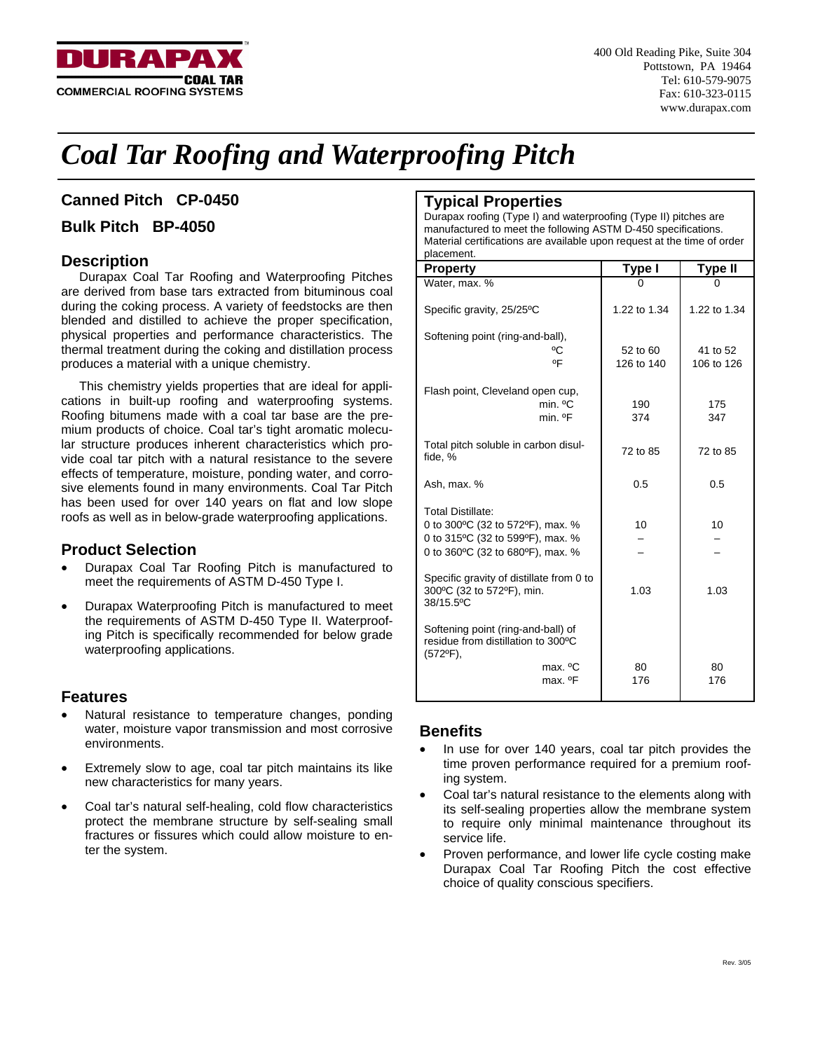

# *Coal Tar Roofing and Waterproofing Pitch*

# **Canned Pitch CP-0450**

# **Bulk Pitch BP-4050**

# **Description**

Durapax Coal Tar Roofing and Waterproofing Pitches are derived from base tars extracted from bituminous coal during the coking process. A variety of feedstocks are then blended and distilled to achieve the proper specification, physical properties and performance characteristics. The thermal treatment during the coking and distillation process produces a material with a unique chemistry.

This chemistry yields properties that are ideal for applications in built-up roofing and waterproofing systems. Roofing bitumens made with a coal tar base are the premium products of choice. Coal tar's tight aromatic molecular structure produces inherent characteristics which provide coal tar pitch with a natural resistance to the severe effects of temperature, moisture, ponding water, and corrosive elements found in many environments. Coal Tar Pitch has been used for over 140 years on flat and low slope roofs as well as in below-grade waterproofing applications.

## **Product Selection**

- Durapax Coal Tar Roofing Pitch is manufactured to meet the requirements of ASTM D-450 Type I.
- Durapax Waterproofing Pitch is manufactured to meet the requirements of ASTM D-450 Type II. Waterproofing Pitch is specifically recommended for below grade waterproofing applications.

# **Features**

- Natural resistance to temperature changes, ponding water, moisture vapor transmission and most corrosive environments.
- Extremely slow to age, coal tar pitch maintains its like new characteristics for many years.
- Coal tar's natural self-healing, cold flow characteristics protect the membrane structure by self-sealing small fractures or fissures which could allow moisture to enter the system.

# **Typical Properties**

Durapax roofing (Type I) and waterproofing (Type II) pitches are manufactured to meet the following ASTM D-450 specifications. Material certifications are available upon request at the time of order placement.

| <b>Property</b>                                                                                                                      | Type I                 | <b>Type II</b>         |  |
|--------------------------------------------------------------------------------------------------------------------------------------|------------------------|------------------------|--|
| Water, max. %                                                                                                                        | O                      |                        |  |
| Specific gravity, 25/25°C                                                                                                            | 1.22 to 1.34           | 1.22 to 1.34           |  |
| Softening point (ring-and-ball),<br>°C<br>$^{\circ}$ F                                                                               | 52 to 60<br>126 to 140 | 41 to 52<br>106 to 126 |  |
| Flash point, Cleveland open cup,<br>min. <sup>o</sup> C<br>min. <sup>o</sup> F                                                       | 190<br>374             | 175<br>347             |  |
| Total pitch soluble in carbon disul-<br>fide, %                                                                                      | 72 to 85               | 72 to 85               |  |
| Ash, max. %                                                                                                                          | 0.5                    | 0.5                    |  |
| <b>Total Distillate:</b><br>0 to 300°C (32 to 572°F), max. %<br>0 to 315°C (32 to 599°F), max. %<br>0 to 360°C (32 to 680°F), max. % | 10                     | 10                     |  |
| Specific gravity of distillate from 0 to<br>300°C (32 to 572°F), min.<br>38/15.5°C                                                   | 1.03                   | 1.03                   |  |
| Softening point (ring-and-ball) of<br>residue from distillation to 300°C<br>$(572^{\circ}F),$                                        |                        |                        |  |
| max. <sup>o</sup> C<br>max. <sup>o</sup> F                                                                                           | 80<br>176              | 80<br>176              |  |

# **Benefits**

- In use for over 140 years, coal tar pitch provides the time proven performance required for a premium roofing system.
- Coal tar's natural resistance to the elements along with its self-sealing properties allow the membrane system to require only minimal maintenance throughout its service life.
- Proven performance, and lower life cycle costing make Durapax Coal Tar Roofing Pitch the cost effective choice of quality conscious specifiers.